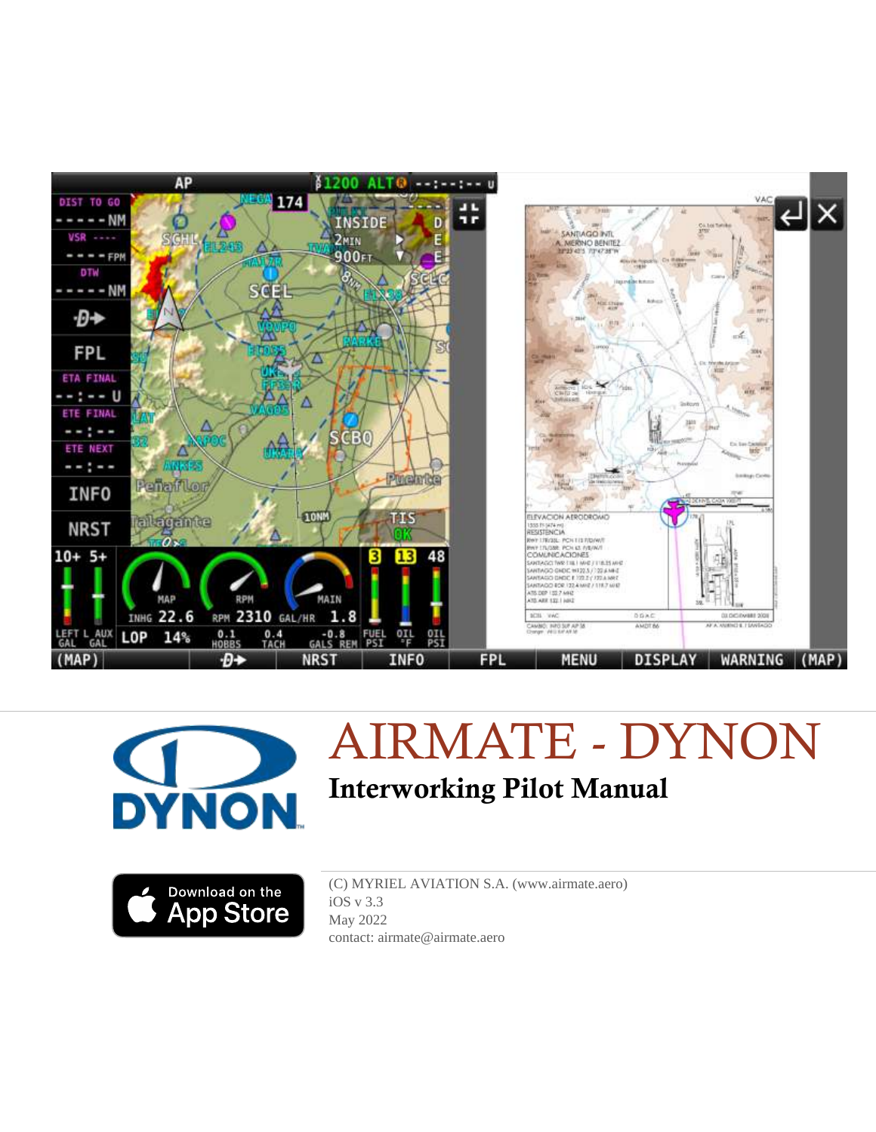





(C) MYRIEL AVIATION S.A. (www.airmate.aero) iOS v 3.3 May 2022 contact: airmate@airmate.aero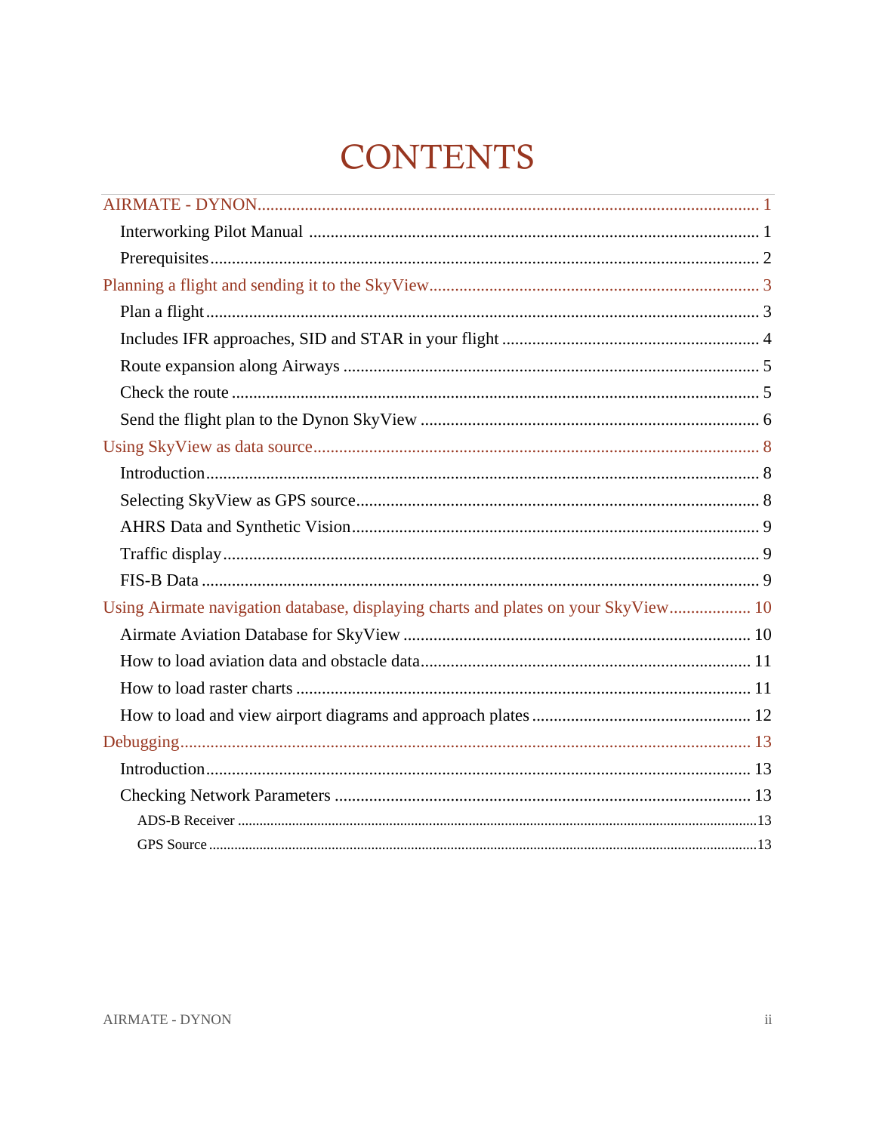# **CONTENTS**

| Using Airmate navigation database, displaying charts and plates on your SkyView 10 |  |
|------------------------------------------------------------------------------------|--|
|                                                                                    |  |
|                                                                                    |  |
|                                                                                    |  |
|                                                                                    |  |
|                                                                                    |  |
|                                                                                    |  |
|                                                                                    |  |
|                                                                                    |  |
|                                                                                    |  |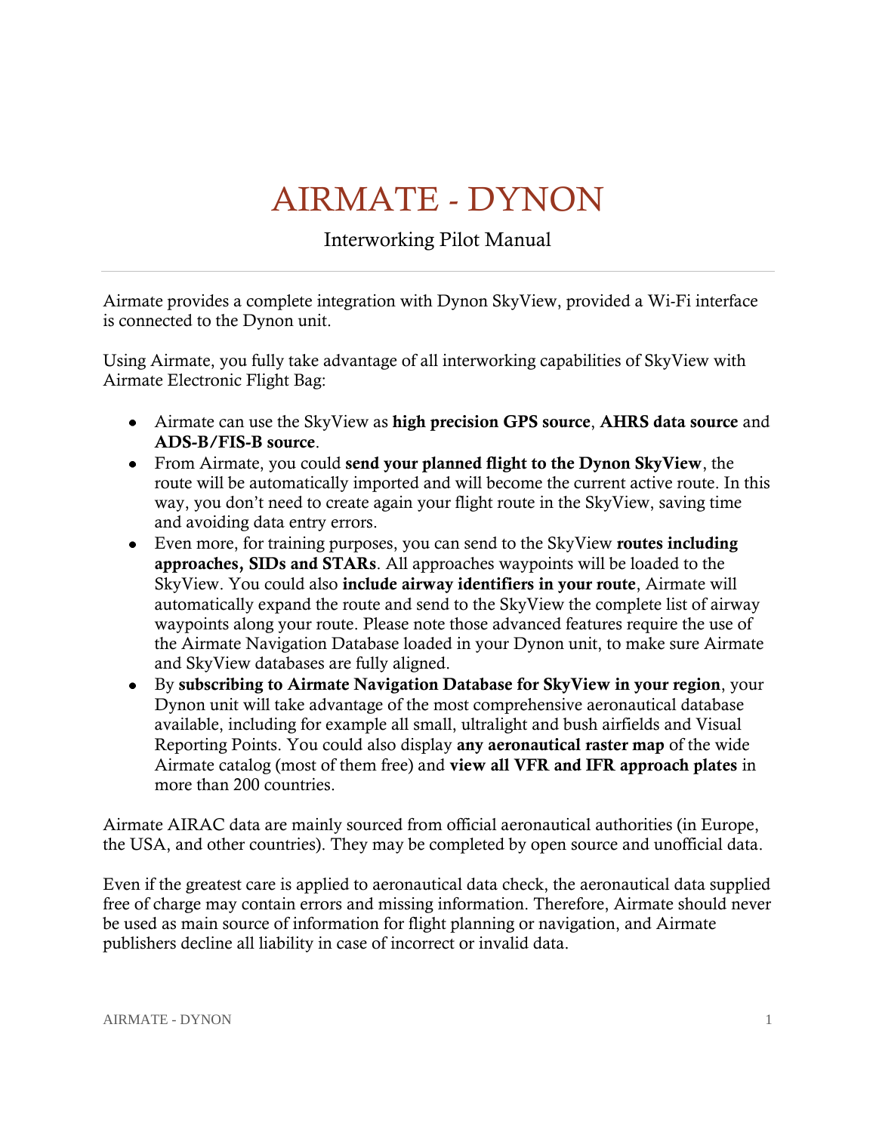# AIRMATE - DYNON

Interworking Pilot Manual

<span id="page-2-1"></span><span id="page-2-0"></span>Airmate provides a complete integration with Dynon SkyView, provided a Wi-Fi interface is connected to the Dynon unit.

Using Airmate, you fully take advantage of all interworking capabilities of SkyView with Airmate Electronic Flight Bag:

- Airmate can use the SkyView as **high precision GPS source**, **AHRS data source** and **ADS-B/FIS-B source**.
- From Airmate, you could **send your planned flight to the Dynon SkyView**, the route will be automatically imported and will become the current active route. In this way, you don't need to create again your flight route in the SkyView, saving time and avoiding data entry errors.
- Even more, for training purposes, you can send to the SkyView **routes including approaches, SIDs and STARs**. All approaches waypoints will be loaded to the SkyView. You could also **include airway identifiers in your route**, Airmate will automatically expand the route and send to the SkyView the complete list of airway waypoints along your route. Please note those advanced features require the use of the Airmate Navigation Database loaded in your Dynon unit, to make sure Airmate and SkyView databases are fully aligned.
- By **subscribing to Airmate Navigation Database for SkyView in your region**, your Dynon unit will take advantage of the most comprehensive aeronautical database available, including for example all small, ultralight and bush airfields and Visual Reporting Points. You could also display **any aeronautical raster map** of the wide Airmate catalog (most of them free) and **view all VFR and IFR approach plates** in more than 200 countries.

Airmate AIRAC data are mainly sourced from official aeronautical authorities (in Europe, the USA, and other countries). They may be completed by open source and unofficial data.

Even if the greatest care is applied to aeronautical data check, the aeronautical data supplied free of charge may contain errors and missing information. Therefore, Airmate should never be used as main source of information for flight planning or navigation, and Airmate publishers decline all liability in case of incorrect or invalid data.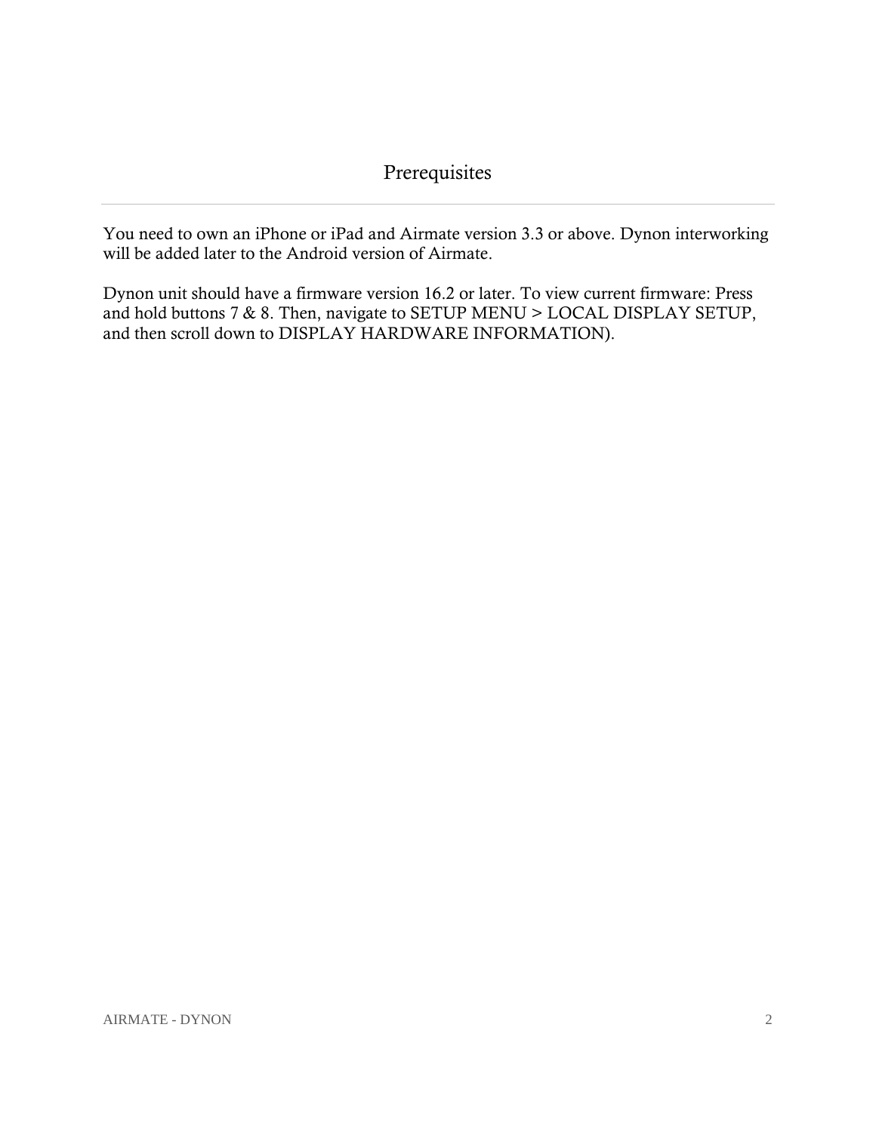<span id="page-3-0"></span>You need to own an iPhone or iPad and Airmate version 3.3 or above. Dynon interworking will be added later to the Android version of Airmate.

Dynon unit should have a firmware version 16.2 or later. To view current firmware: Press and hold buttons 7 & 8. Then, navigate to SETUP MENU > LOCAL DISPLAY SETUP, and then scroll down to DISPLAY HARDWARE INFORMATION).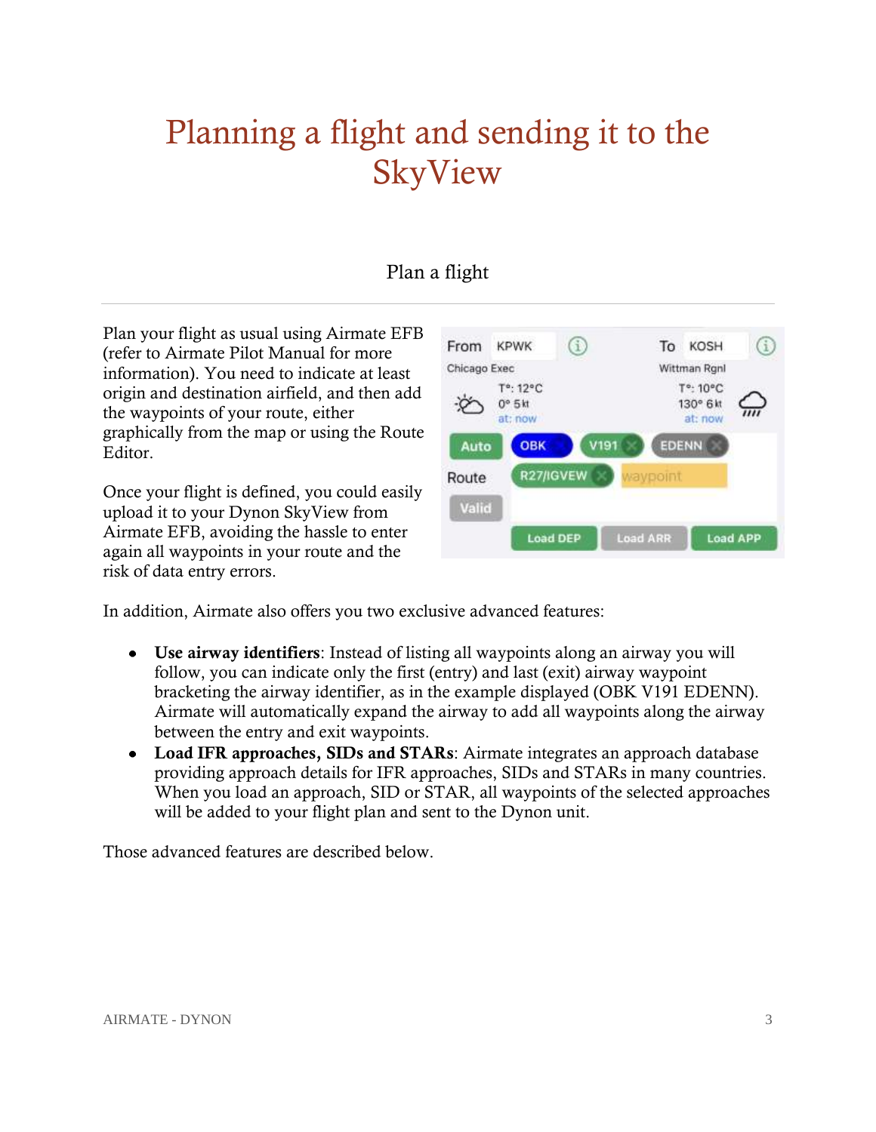## <span id="page-4-0"></span>Planning a flight and sending it to the SkyView

## Plan a flight

<span id="page-4-1"></span>Plan your flight as usual using Airmate EFB (refer to Airmate Pilot Manual for more information). You need to indicate at least origin and destination airfield, and then add the waypoints of your route, either graphically from the map or using the Route Editor.

Once your flight is defined, you could easily upload it to your Dynon SkyView from Airmate EFB, avoiding the hassle to enter again all waypoints in your route and the risk of data entry errors.



In addition, Airmate also offers you two exclusive advanced features:

- **Use airway identifiers**: Instead of listing all waypoints along an airway you will follow, you can indicate only the first (entry) and last (exit) airway waypoint bracketing the airway identifier, as in the example displayed (OBK V191 EDENN). Airmate will automatically expand the airway to add all waypoints along the airway between the entry and exit waypoints.
- **Load IFR approaches, SIDs and STARs**: Airmate integrates an approach database providing approach details for IFR approaches, SIDs and STARs in many countries. When you load an approach, SID or STAR, all waypoints of the selected approaches will be added to your flight plan and sent to the Dynon unit.

Those advanced features are described below.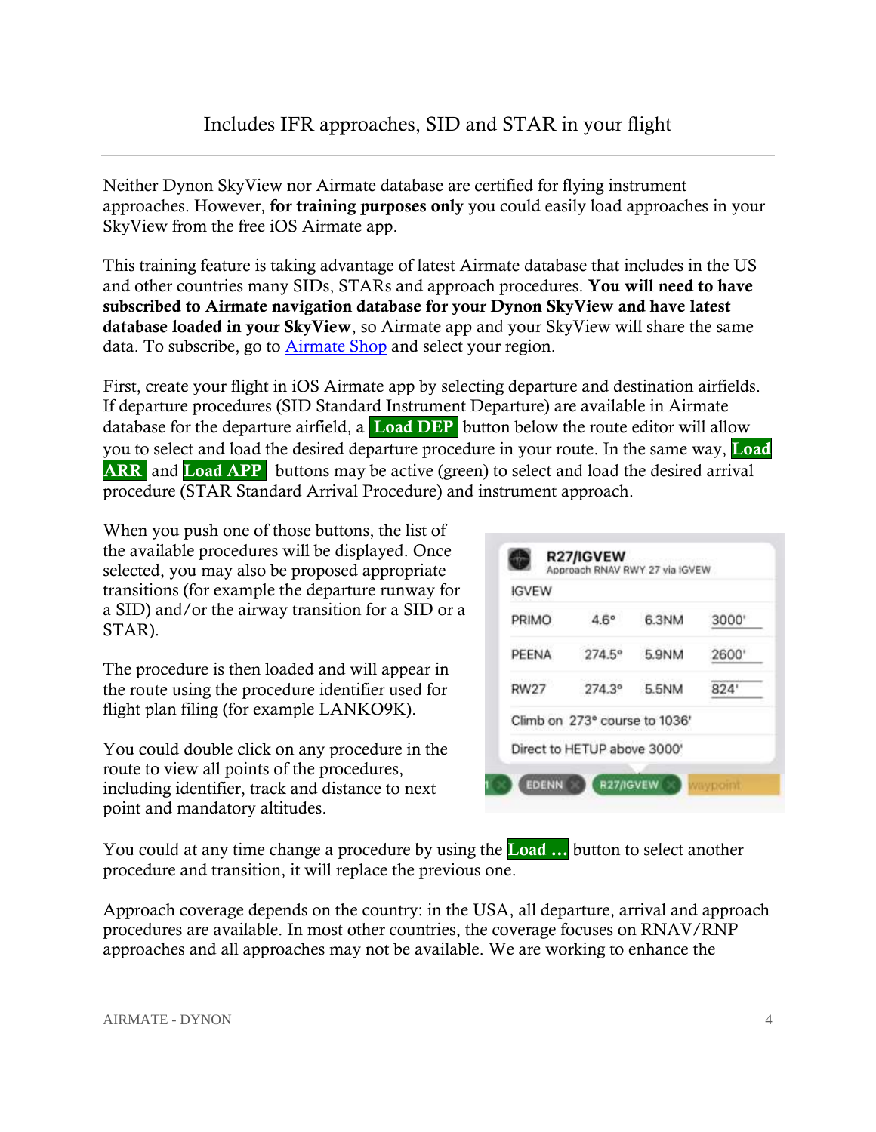## Includes IFR approaches, SID and STAR in your flight

<span id="page-5-0"></span>Neither Dynon SkyView nor Airmate database are certified for flying instrument approaches. However, **for training purposes only** you could easily load approaches in your SkyView from the free iOS Airmate app.

This training feature is taking advantage of latest Airmate database that includes in the US and other countries many SIDs, STARs and approach procedures. **You will need to have subscribed to Airmate navigation database for your Dynon SkyView and have latest database loaded in your SkyView**, so Airmate app and your SkyView will share the same data. To subscribe, go to [Airmate Shop](https://www.airmate.aero/shop/?product_cat=navigation-database-en&lang=en) and select your region.

First, create your flight in iOS Airmate app by selecting departure and destination airfields. If departure procedures (SID Standard Instrument Departure) are available in Airmate database for the departure airfield, a **Load DEP** button below the route editor will allow you to select and load the desired departure procedure in your route. In the same way, **Load ARR** and **Load APP** buttons may be active (green) to select and load the desired arrival procedure (STAR Standard Arrival Procedure) and instrument approach.

When you push one of those buttons, the list of the available procedures will be displayed. Once selected, you may also be proposed appropriate transitions (for example the departure runway for a SID) and/or the airway transition for a SID or a STAR).

The procedure is then loaded and will appear in the route using the procedure identifier used for flight plan filing (for example LANKO9K).

You could double click on any procedure in the route to view all points of the procedures, including identifier, track and distance to next point and mandatory altitudes.

| <b>IGVEW</b> |                               |       |      |
|--------------|-------------------------------|-------|------|
| PRIMO        | $4.6^\circ$                   | 6.3NM | 3000 |
| PEENA        | $274.5^{\circ}$               | 5.9NM | 2600 |
| <b>RW27</b>  | $274.3^{\circ}$               | 5.5NM | 824  |
|              | Climb on 273° course to 1036' |       |      |
|              | Direct to HETUP above 3000'   |       |      |

You could at any time change a procedure by using the **Load …** button to select another procedure and transition, it will replace the previous one.

1

Approach coverage depends on the country: in the USA, all departure, arrival and approach procedures are available. In most other countries, the coverage focuses on RNAV/RNP approaches and all approaches may not be available. We are working to enhance the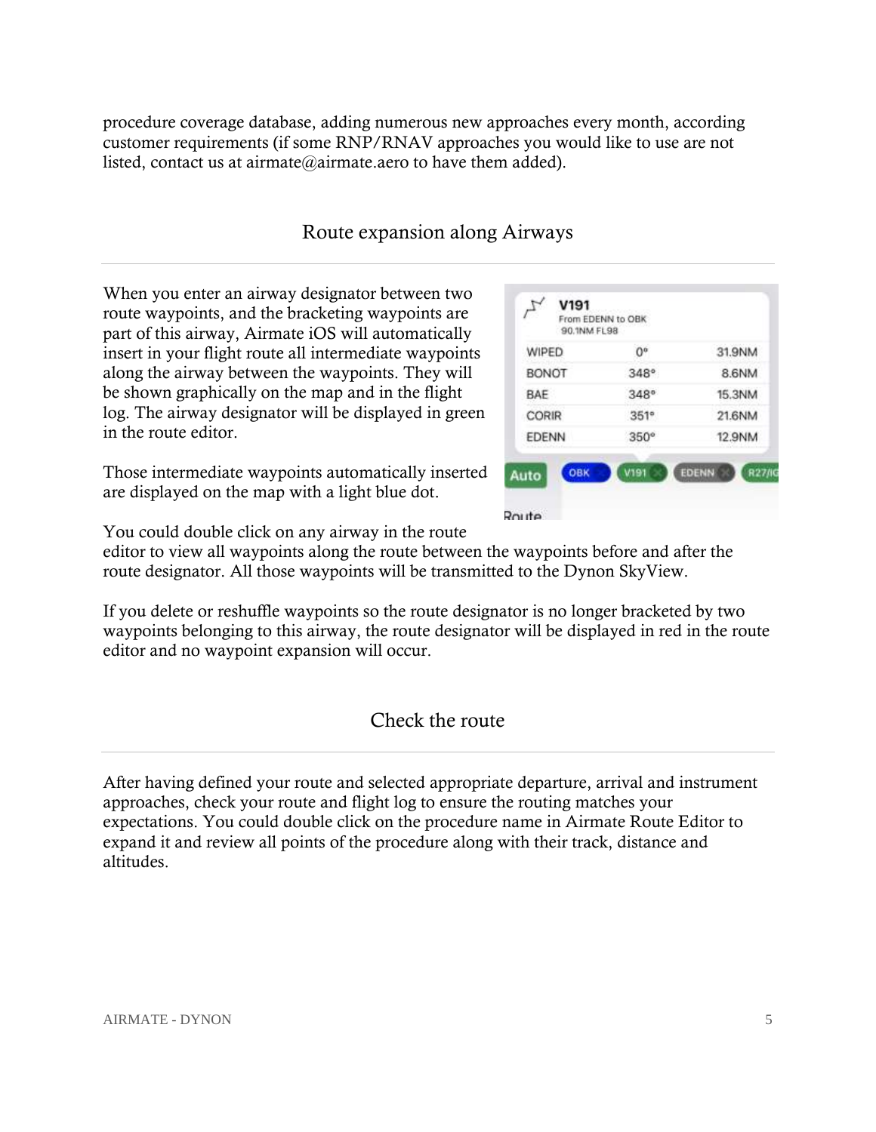procedure coverage database, adding numerous new approaches every month, according customer requirements (if some RNP/RNAV approaches you would like to use are not listed, contact us at airmate@airmate.aero to have them added).

### Route expansion along Airways

<span id="page-6-0"></span>When you enter an airway designator between two route waypoints, and the bracketing waypoints are part of this airway, Airmate iOS will automatically insert in your flight route all intermediate waypoints along the airway between the waypoints. They will be shown graphically on the map and in the flight log. The airway designator will be displayed in green in the route editor.

| Those intermediate waypoints automatically inserted |  |
|-----------------------------------------------------|--|
| are displayed on the map with a light blue dot.     |  |

| WIPED        | O°          | 31.9NM                 |
|--------------|-------------|------------------------|
| <b>BONOT</b> | $348^\circ$ | 8.6NM                  |
| BAE          | 348°        | 15.3NM                 |
| CORIR        | 351°        | 21.6NM                 |
| <b>EDENN</b> | $350^\circ$ | 12.9NM                 |
| OBK<br>Auto  | <b>V191</b> | <b>EDENN</b><br>R27/IG |

You could double click on any airway in the route

editor to view all waypoints along the route between the waypoints before and after the route designator. All those waypoints will be transmitted to the Dynon SkyView.

If you delete or reshuffle waypoints so the route designator is no longer bracketed by two waypoints belonging to this airway, the route designator will be displayed in red in the route editor and no waypoint expansion will occur.

### Check the route

<span id="page-6-1"></span>After having defined your route and selected appropriate departure, arrival and instrument approaches, check your route and flight log to ensure the routing matches your expectations. You could double click on the procedure name in Airmate Route Editor to expand it and review all points of the procedure along with their track, distance and altitudes.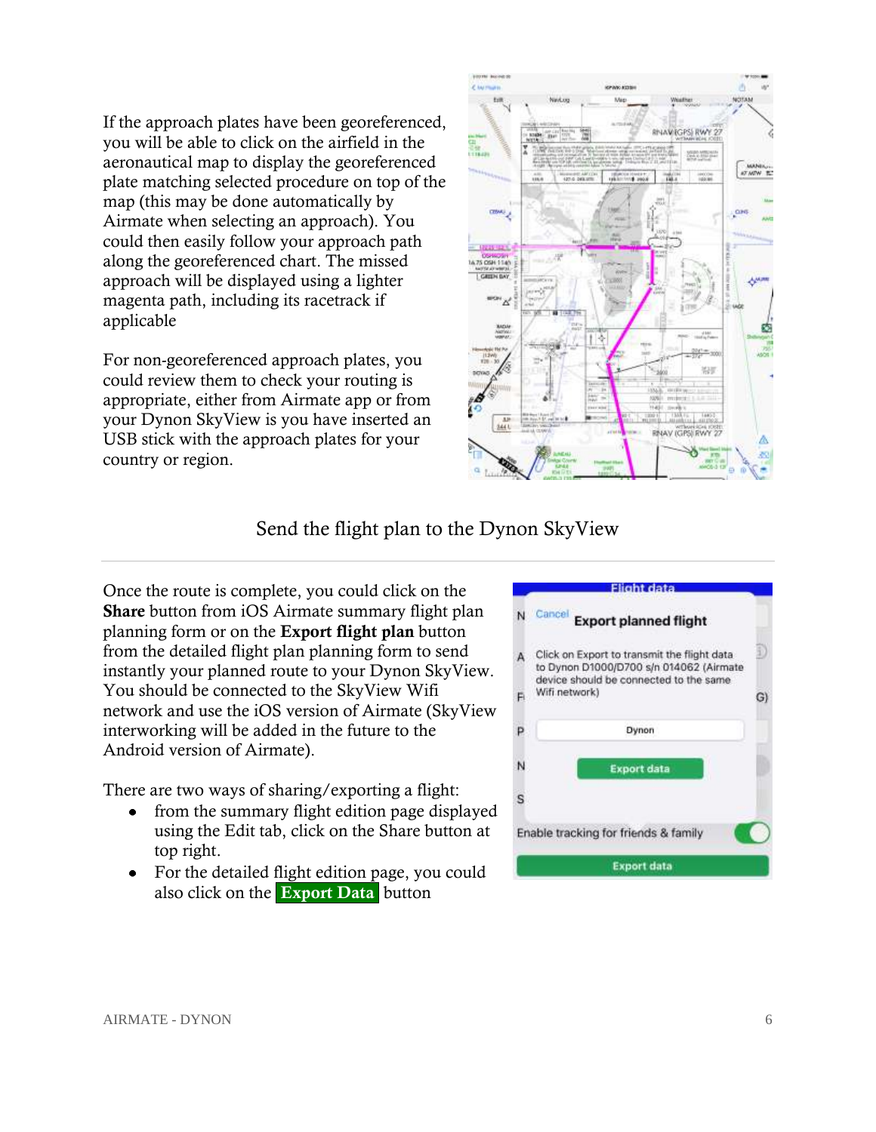If the approach plates have been georeferenced, you will be able to click on the airfield in the aeronautical map to display the georeferenced plate matching selected procedure on top of the map (this may be done automatically by Airmate when selecting an approach). You could then easily follow your approach path along the georeferenced chart. The missed approach will be displayed using a lighter magenta path, including its racetrack if applicable

For non-georeferenced approach plates, you could review them to check your routing is appropriate, either from Airmate app or from your Dynon SkyView is you have inserted an USB stick with the approach plates for your country or region.



## Send the flight plan to the Dynon SkyView

<span id="page-7-0"></span>Once the route is complete, you could click on the **Share** button from iOS Airmate summary flight plan planning form or on the **Export flight plan** button from the detailed flight plan planning form to send instantly your planned route to your Dynon SkyView. You should be connected to the SkyView Wifi network and use the iOS version of Airmate (SkyView interworking will be added in the future to the Android version of Airmate).

There are two ways of sharing/exporting a flight:

- from the summary flight edition page displayed  $\bullet$ using the Edit tab, click on the Share button at top right.
- For the detailed flight edition page, you could also click on the **Export Data** button

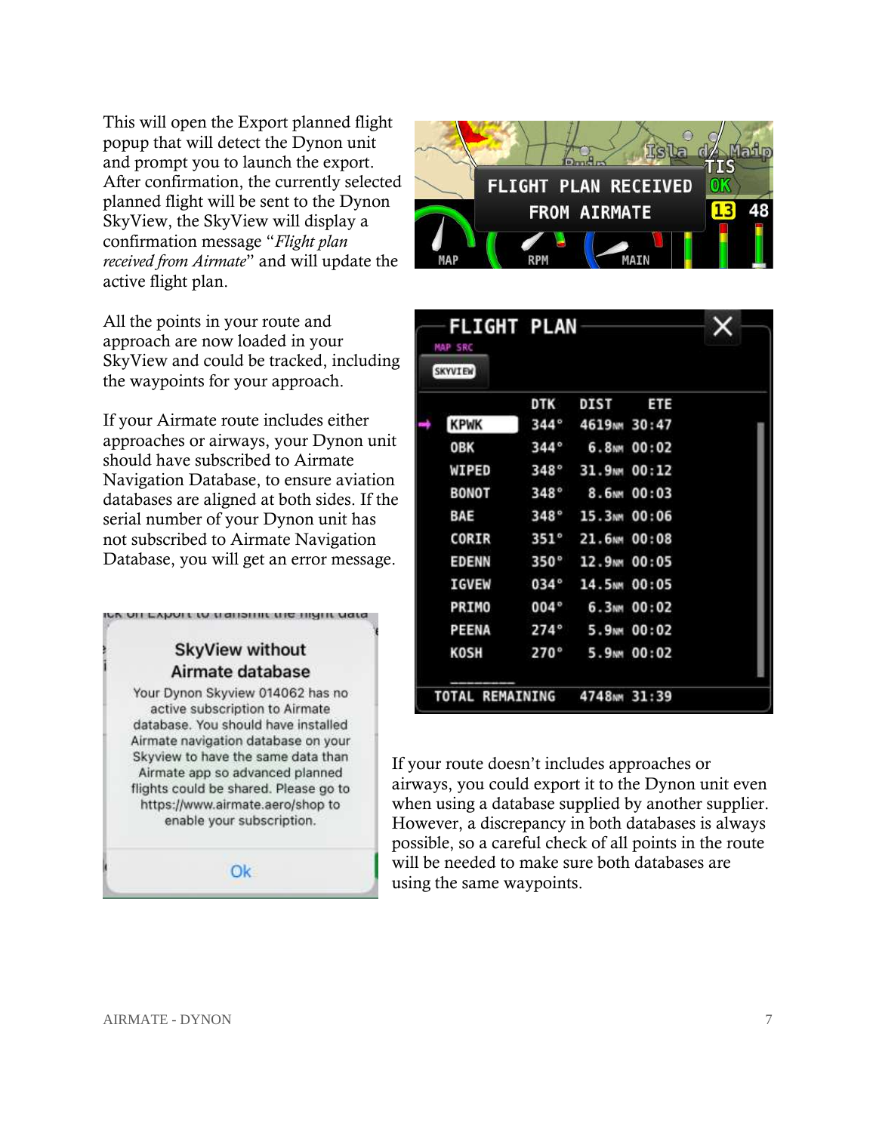This will open the Export planned flight popup that will detect the Dynon unit and prompt you to launch the export. After confirmation, the currently selected planned flight will be sent to the Dynon SkyView, the SkyView will display a confirmation message "*Flight plan received from Airmate*" and will update the active flight plan.

All the points in your route and approach are now loaded in your SkyView and could be tracked, including the waypoints for your approach.

If your Airmate route includes either approaches or airways, your Dynon unit should have subscribed to Airmate Navigation Database, to ensure aviation databases are aligned at both sides. If the serial number of your Dynon unit has not subscribed to Airmate Navigation Database, you will get an error message.

### **SkyView without** Airmate database

ice on Export to transmit the mynt uata

Your Dynon Skyview 014062 has no active subscription to Airmate database. You should have installed Airmate navigation database on your Skyview to have the same data than Airmate app so advanced planned flights could be shared. Please go to https://www.airmate.aero/shop to enable your subscription.

O<sub>k</sub>



| <b>FLIGHT PLAN</b><br><b>MAP SRC</b> |             |                          |                         |  |
|--------------------------------------|-------------|--------------------------|-------------------------|--|
| <b>SKYVIEW</b>                       |             |                          |                         |  |
|                                      | <b>DTK</b>  | <b>DIST</b>              | ETE                     |  |
| <b>KPWK</b>                          | $344^\circ$ | 4619 <sub>NM</sub> 30:47 |                         |  |
| <b>OBK</b>                           | $344^\circ$ |                          | 6.8 <sub>NM</sub> 00:02 |  |
| WIPED                                | 348°        | 31.9 <sub>NM</sub> 00:12 |                         |  |
| <b>BONOT</b>                         | $348^\circ$ |                          | 8.6 <sub>NM</sub> 00:03 |  |
| BAE                                  | $348^\circ$ | 15.3MM 00:06             |                         |  |
| CORIR                                | $351^\circ$ | 21.6MM 00:08             |                         |  |
| <b>EDENN</b>                         | 350°        | 12.9 <sub>NM</sub> 00:05 |                         |  |
| <b>IGVEW</b>                         | 034°        | 14.5NM 00:05             |                         |  |
| PRIMO                                | $004^\circ$ |                          | 6.3MM 00:02             |  |
| PEENA                                | $274^\circ$ |                          | 5.9 <sub>NM</sub> 00:02 |  |
| <b>KOSH</b>                          | 270°        |                          | 5.9 <sub>NM</sub> 00:02 |  |
| TOTAL REMAINING 4748MM 31:39         |             |                          |                         |  |

If your route doesn't includes approaches or airways, you could export it to the Dynon unit even when using a database supplied by another supplier. However, a discrepancy in both databases is always possible, so a careful check of all points in the route will be needed to make sure both databases are using the same waypoints.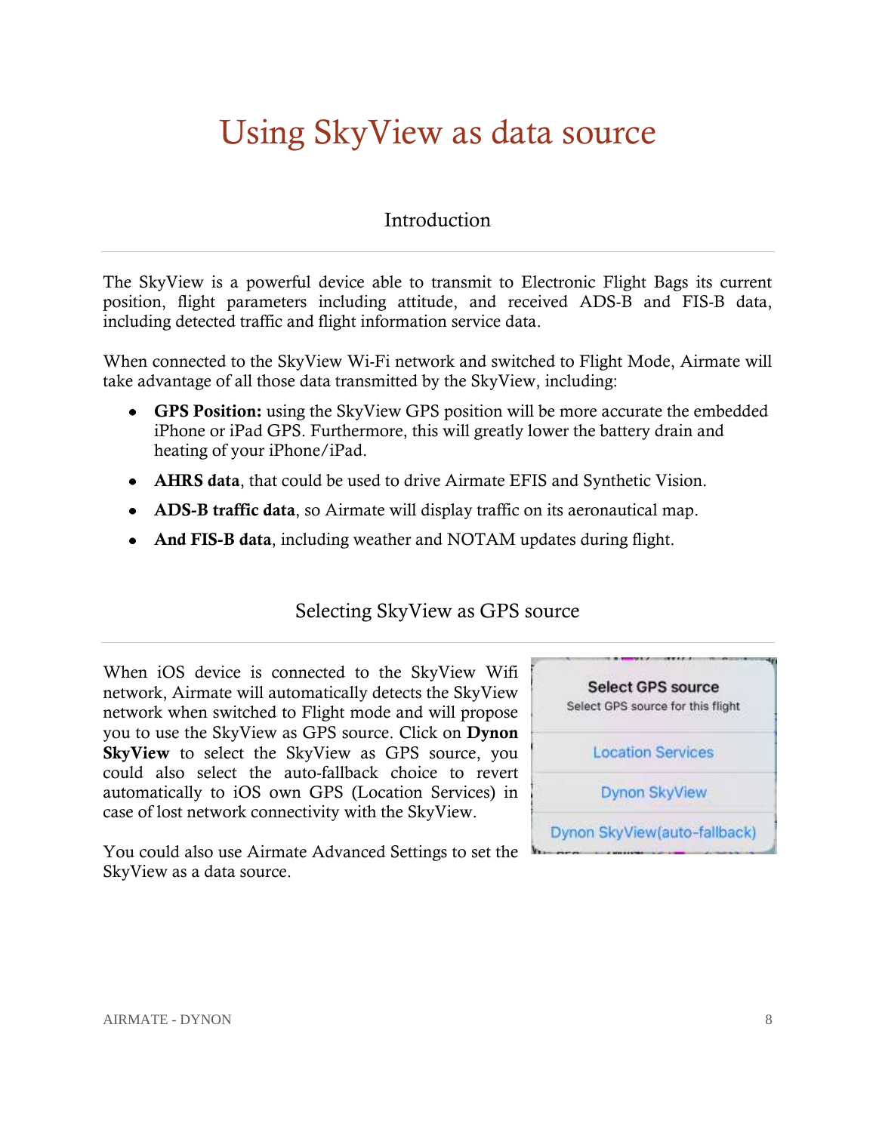## <span id="page-9-0"></span>Using SkyView as data source

#### **Introduction**

<span id="page-9-1"></span>The SkyView is a powerful device able to transmit to Electronic Flight Bags its current position, flight parameters including attitude, and received ADS-B and FIS-B data, including detected traffic and flight information service data.

When connected to the SkyView Wi-Fi network and switched to Flight Mode, Airmate will take advantage of all those data transmitted by the SkyView, including:

- **GPS Position:** using the SkyView GPS position will be more accurate the embedded iPhone or iPad GPS. Furthermore, this will greatly lower the battery drain and heating of your iPhone/iPad.
- **AHRS data**, that could be used to drive Airmate EFIS and Synthetic Vision.
- **ADS-B traffic data**, so Airmate will display traffic on its aeronautical map.
- <span id="page-9-2"></span>**And FIS-B data**, including weather and NOTAM updates during flight.

## Selecting SkyView as GPS source

When iOS device is connected to the SkyView Wifi network, Airmate will automatically detects the SkyView network when switched to Flight mode and will propose you to use the SkyView as GPS source. Click on **Dynon SkyView** to select the SkyView as GPS source, you could also select the auto-fallback choice to revert automatically to iOS own GPS (Location Services) in case of lost network connectivity with the SkyView.

You could also use Airmate Advanced Settings to set the SkyView as a data source.

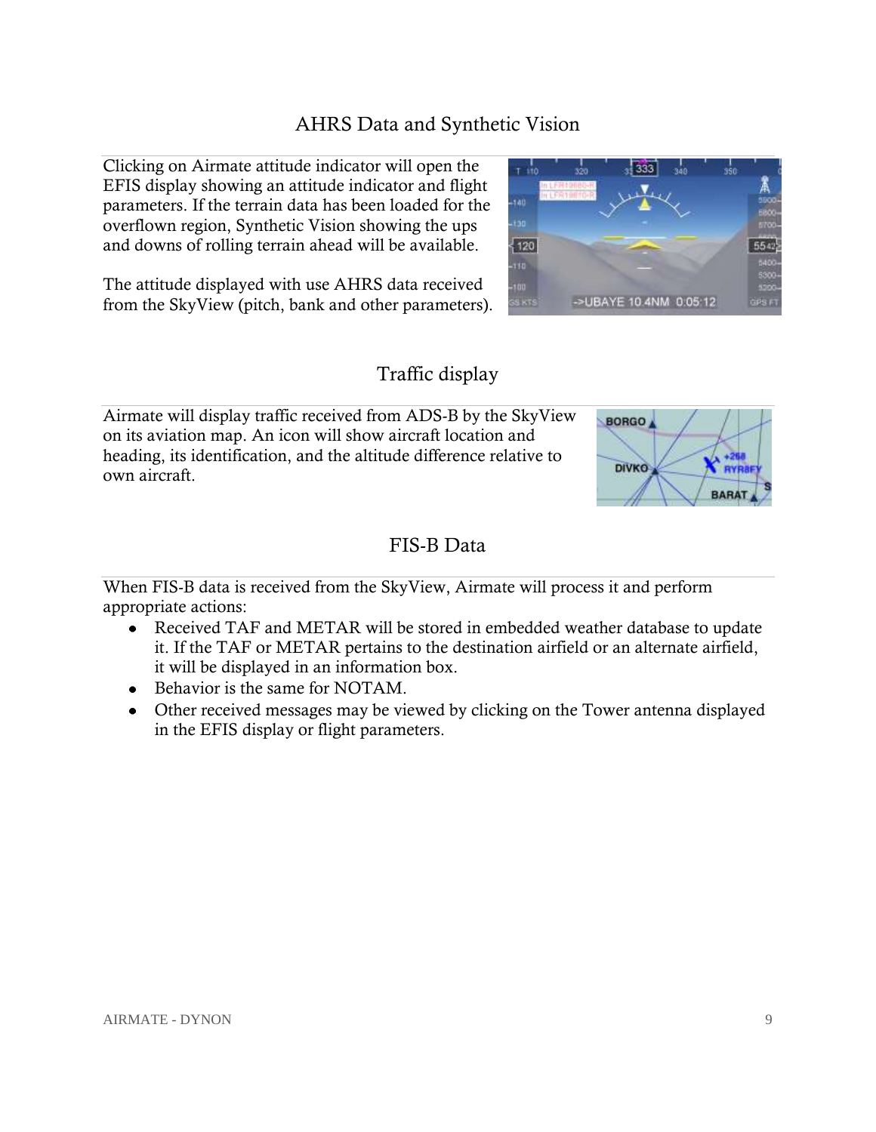### AHRS Data and Synthetic Vision

<span id="page-10-0"></span>Clicking on Airmate attitude indicator will open the EFIS display showing an attitude indicator and flight parameters. If the terrain data has been loaded for the overflown region, Synthetic Vision showing the ups and downs of rolling terrain ahead will be available.

The attitude displayed with use AHRS data received from the SkyView (pitch, bank and other parameters).

#### Traffic display

<span id="page-10-1"></span>Airmate will display traffic received from ADS-B by the SkyView on its aviation map. An icon will show aircraft location and heading, its identification, and the altitude difference relative to own aircraft.

## FIS-B Data

<span id="page-10-2"></span>When FIS-B data is received from the SkyView, Airmate will process it and perform appropriate actions:

- Received TAF and METAR will be stored in embedded weather database to update it. If the TAF or METAR pertains to the destination airfield or an alternate airfield, it will be displayed in an information box.
- Behavior is the same for NOTAM.
- Other received messages may be viewed by clicking on the Tower antenna displayed in the EFIS display or flight parameters.



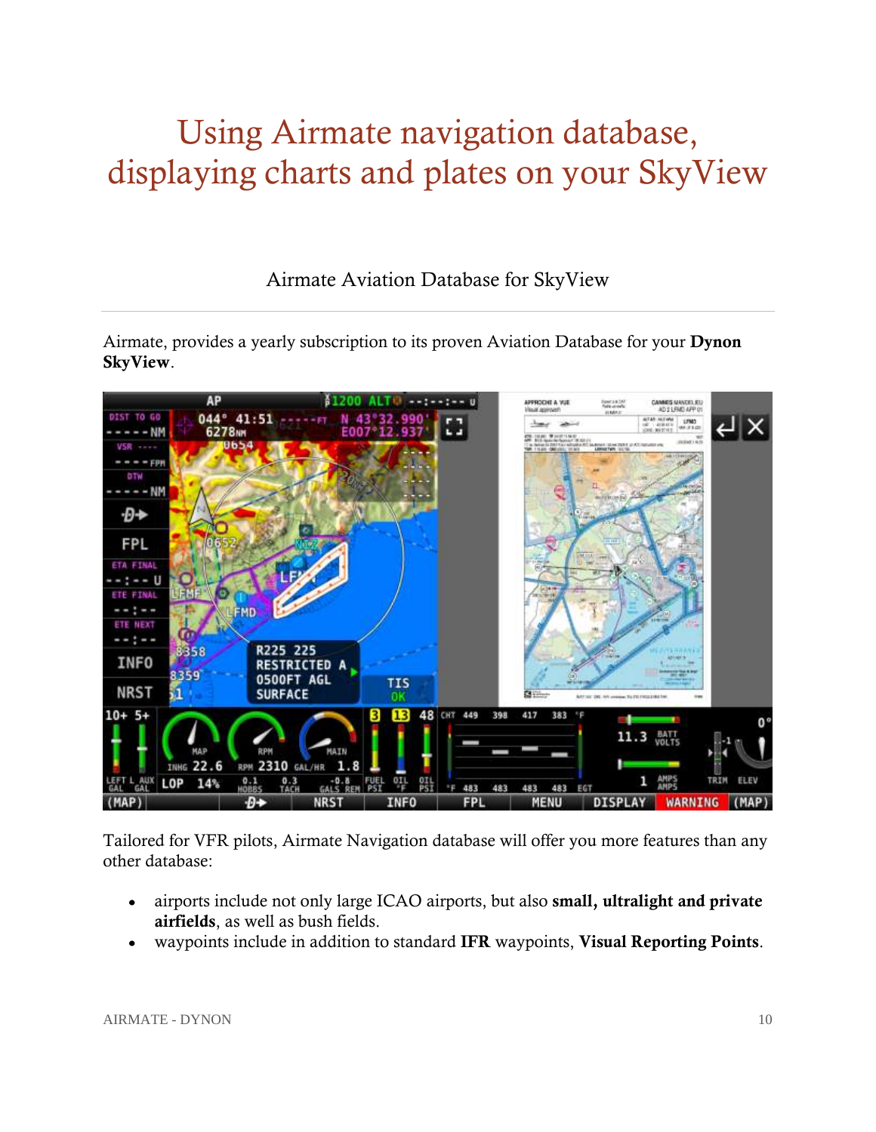## <span id="page-11-0"></span>Using Airmate navigation database, displaying charts and plates on your SkyView

Airmate Aviation Database for SkyView

<span id="page-11-1"></span>Airmate, provides a yearly subscription to its proven Aviation Database for your **Dynon SkyView**.



Tailored for VFR pilots, Airmate Navigation database will offer you more features than any other database:

- airports include not only large ICAO airports, but also **small, ultralight and private**   $\bullet$ **airfields**, as well as bush fields.
- waypoints include in addition to standard **IFR** waypoints, **Visual Reporting Points**.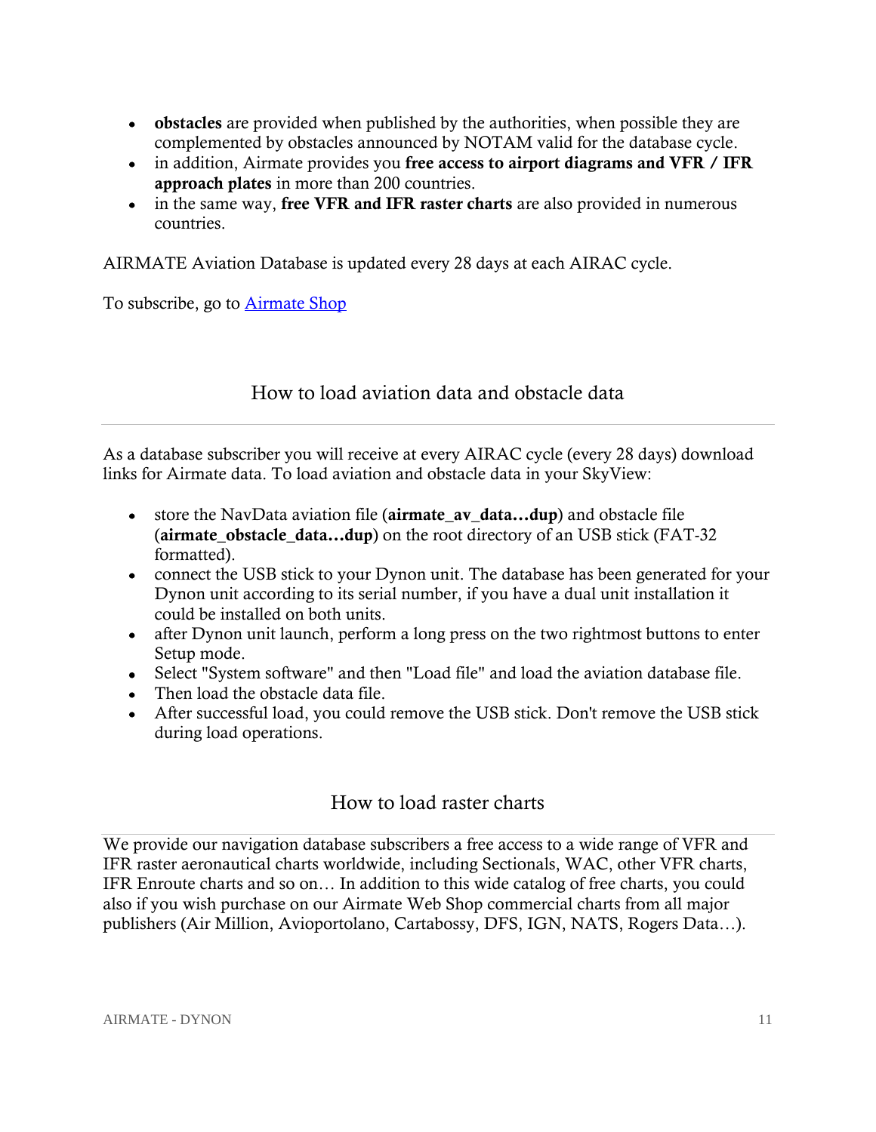- **obstacles** are provided when published by the authorities, when possible they are complemented by obstacles announced by NOTAM valid for the database cycle.
- in addition, Airmate provides you **free access to airport diagrams and VFR / IFR approach plates** in more than 200 countries.
- in the same way, **free VFR and IFR raster charts** are also provided in numerous countries.

AIRMATE Aviation Database is updated every 28 days at each AIRAC cycle.

To subscribe, go to **Airmate Shop** 

### How to load aviation data and obstacle data

<span id="page-12-0"></span>As a database subscriber you will receive at every AIRAC cycle (every 28 days) download links for Airmate data. To load aviation and obstacle data in your SkyView:

- store the NavData aviation file (**airmate\_av\_data…dup**) and obstacle file (**airmate** obstacle data...dup) on the root directory of an USB stick (FAT-32 formatted).
- connect the USB stick to your Dynon unit. The database has been generated for your Dynon unit according to its serial number, if you have a dual unit installation it could be installed on both units.
- after Dynon unit launch, perform a long press on the two rightmost buttons to enter Setup mode.
- Select "System software" and then "Load file" and load the aviation database file.
- Then load the obstacle data file.
- After successful load, you could remove the USB stick. Don't remove the USB stick during load operations.

## How to load raster charts

<span id="page-12-1"></span>We provide our navigation database subscribers a free access to a wide range of VFR and IFR raster aeronautical charts worldwide, including Sectionals, WAC, other VFR charts, IFR Enroute charts and so on… In addition to this wide catalog of free charts, you could also if you wish purchase on our Airmate Web Shop commercial charts from all major publishers (Air Million, Avioportolano, Cartabossy, DFS, IGN, NATS, Rogers Data…).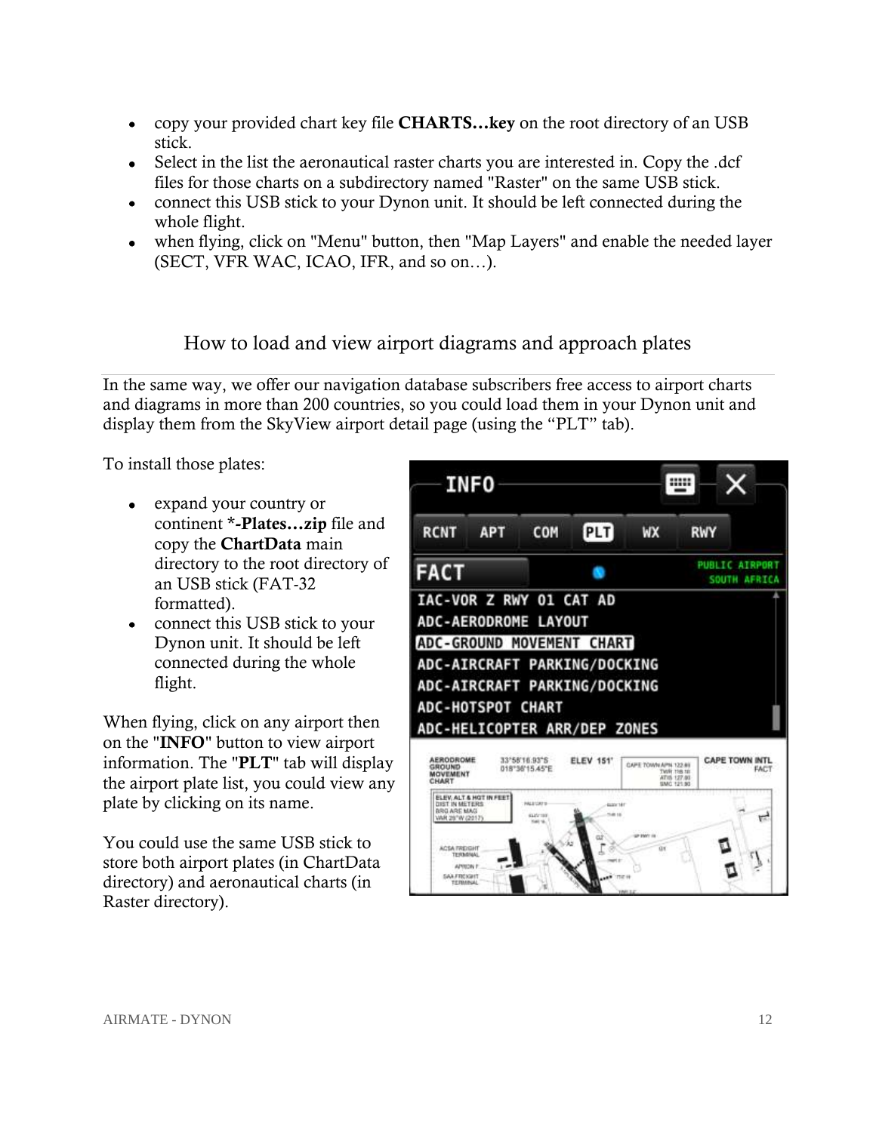- copy your provided chart key file **CHARTS…key** on the root directory of an USB stick.
- Select in the list the aeronautical raster charts you are interested in. Copy the .dcf files for those charts on a subdirectory named "Raster" on the same USB stick.
- connect this USB stick to your Dynon unit. It should be left connected during the whole flight.
- when flying, click on "Menu" button, then "Map Layers" and enable the needed layer (SECT, VFR WAC, ICAO, IFR, and so on…).

### How to load and view airport diagrams and approach plates

<span id="page-13-0"></span>In the same way, we offer our navigation database subscribers free access to airport charts and diagrams in more than 200 countries, so you could load them in your Dynon unit and display them from the SkyView airport detail page (using the "PLT" tab).

To install those plates:

- expand your country or continent \***-Plates…zip** file and copy the **ChartData** main directory to the root directory of an USB stick (FAT-32 formatted).
- connect this USB stick to your Dynon unit. It should be left connected during the whole flight.

When flying, click on any airport then on the "**INFO**" button to view airport information. The "**PLT**" tab will display the airport plate list, you could view any plate by clicking on its name.

You could use the same USB stick to store both airport plates (in ChartData directory) and aeronautical charts (in Raster directory).

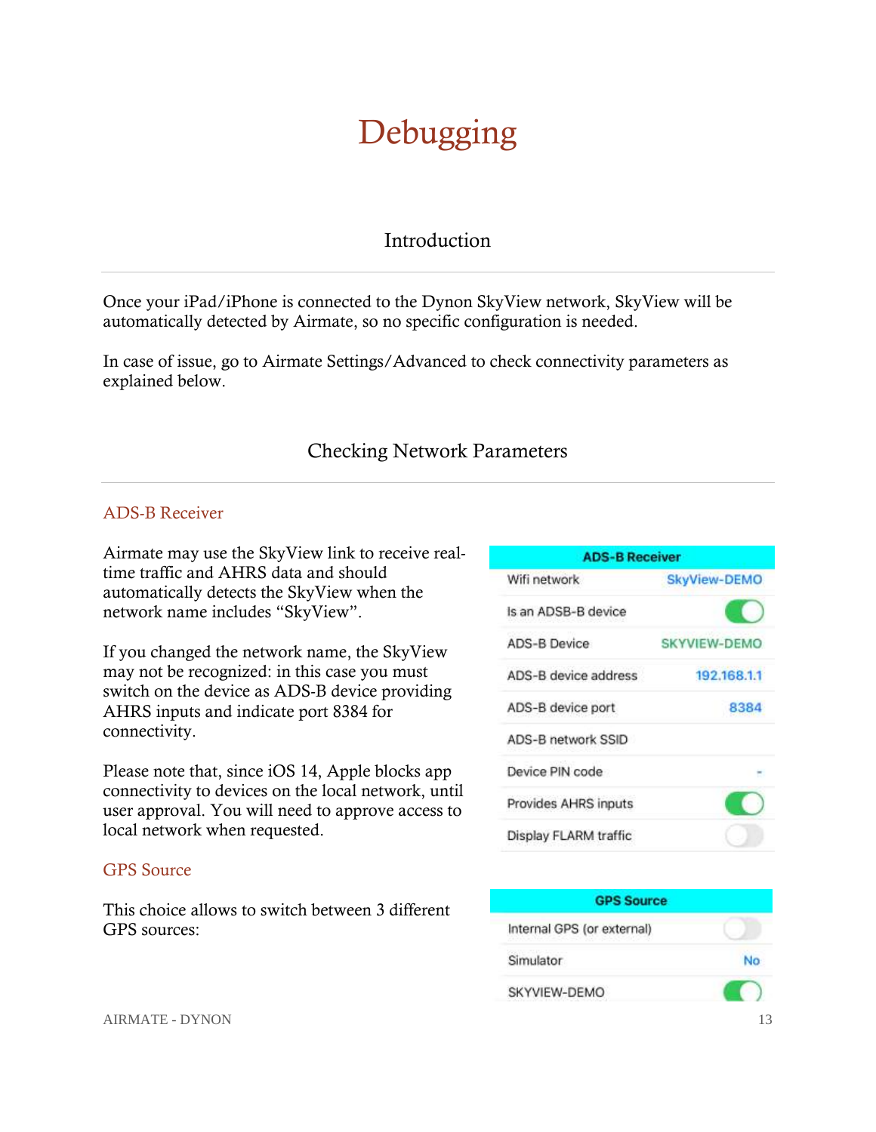## Debugging

#### Introduction

<span id="page-14-1"></span><span id="page-14-0"></span>Once your iPad/iPhone is connected to the Dynon SkyView network, SkyView will be automatically detected by Airmate, so no specific configuration is needed.

In case of issue, go to Airmate Settings/Advanced to check connectivity parameters as explained below.

## Checking Network Parameters

#### <span id="page-14-3"></span><span id="page-14-2"></span>ADS-B Receiver

Airmate may use the SkyView link to receive realtime traffic and AHRS data and should automatically detects the SkyView when the network name includes "SkyView".

If you changed the network name, the SkyView may not be recognized: in this case you must switch on the device as ADS-B device providing AHRS inputs and indicate port 8384 for connectivity.

Please note that, since iOS 14, Apple blocks app connectivity to devices on the local network, until user approval. You will need to approve access to local network when requested.

#### <span id="page-14-4"></span>GPS Source

This choice allows to switch between 3 different GPS sources:

| <b>ADS-B Receiver</b> |                     |  |  |
|-----------------------|---------------------|--|--|
| Wifi network          | <b>SkyView-DEMO</b> |  |  |
| Is an ADSB-B device   |                     |  |  |
| <b>ADS-B Device</b>   | SKYVIEW-DEMO        |  |  |
| ADS-B device address  | 192.168.1.1         |  |  |
| ADS-B device port     | 8384                |  |  |
| ADS-B network SSID    |                     |  |  |
| Device PIN code       |                     |  |  |
| Provides AHRS inputs  |                     |  |  |
| Display FLARM traffic |                     |  |  |

| <b>GPS Source</b>          |  |
|----------------------------|--|
| Internal GPS (or external) |  |
| Simulator                  |  |
| SKYVIEW-DEMO               |  |

AIRMATE - DYNON 13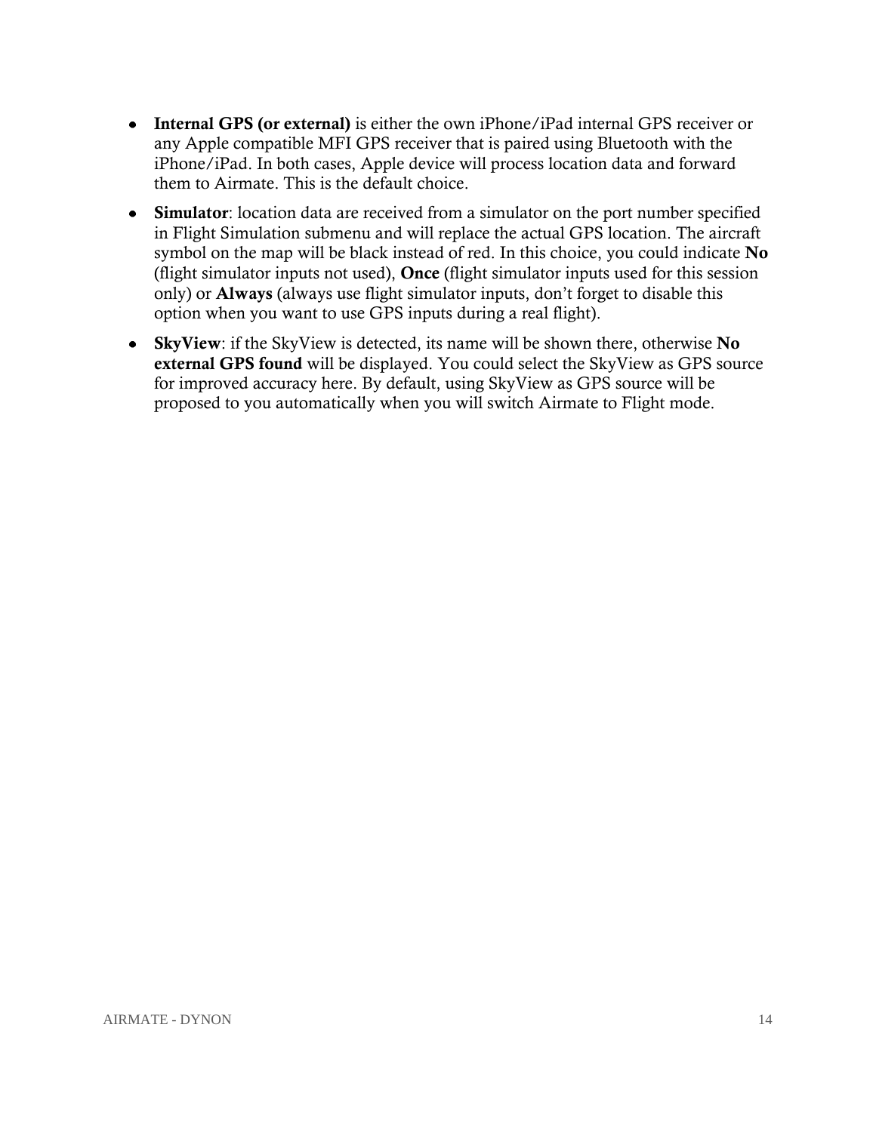- **Internal GPS (or external)** is either the own iPhone/iPad internal GPS receiver or any Apple compatible MFI GPS receiver that is paired using Bluetooth with the iPhone/iPad. In both cases, Apple device will process location data and forward them to Airmate. This is the default choice.
- **Simulator**: location data are received from a simulator on the port number specified in Flight Simulation submenu and will replace the actual GPS location. The aircraft symbol on the map will be black instead of red. In this choice, you could indicate **No** (flight simulator inputs not used), **Once** (flight simulator inputs used for this session only) or **Always** (always use flight simulator inputs, don't forget to disable this option when you want to use GPS inputs during a real flight).
- **SkyView**: if the SkyView is detected, its name will be shown there, otherwise **No external GPS found** will be displayed. You could select the SkyView as GPS source for improved accuracy here. By default, using SkyView as GPS source will be proposed to you automatically when you will switch Airmate to Flight mode.